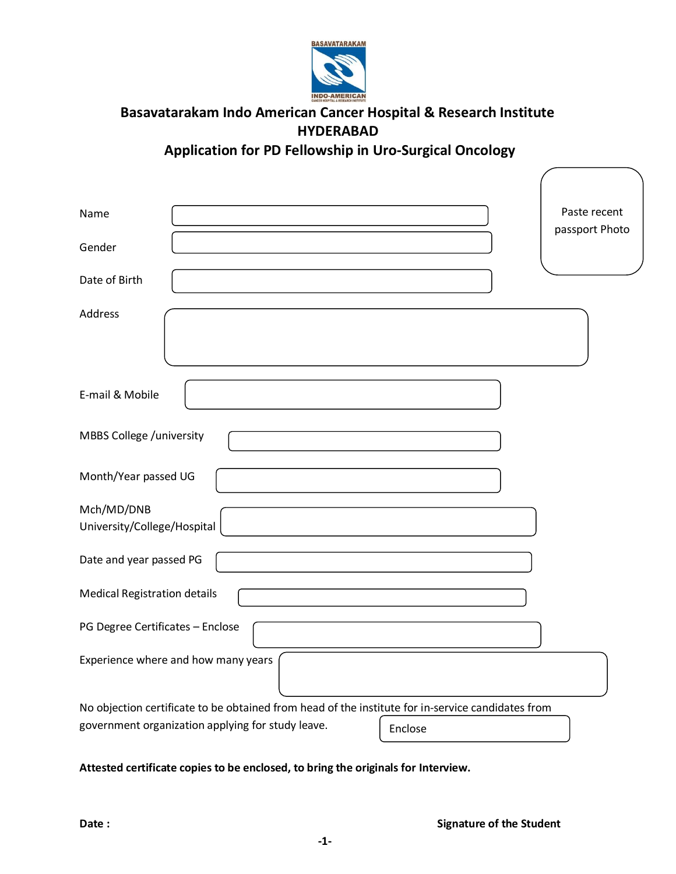

# **Basavatarakam Indo American Cancer Hospital & Research Institute HYDERABAD**

**Application for PD Fellowship in Uro-Surgical Oncology** 

| Name<br>Gender                                                                                                                                                    | Paste recent<br>passport Photo |
|-------------------------------------------------------------------------------------------------------------------------------------------------------------------|--------------------------------|
| Date of Birth                                                                                                                                                     |                                |
| <b>Address</b>                                                                                                                                                    |                                |
| E-mail & Mobile                                                                                                                                                   |                                |
| MBBS College /university                                                                                                                                          |                                |
| Month/Year passed UG                                                                                                                                              |                                |
| Mch/MD/DNB<br>University/College/Hospital                                                                                                                         |                                |
| Date and year passed PG                                                                                                                                           |                                |
| <b>Medical Registration details</b>                                                                                                                               |                                |
| PG Degree Certificates - Enclose                                                                                                                                  |                                |
| Experience where and how many years                                                                                                                               |                                |
| No objection certificate to be obtained from head of the institute for in-service candidates from<br>government organization applying for study leave.<br>Enclose |                                |

**Attested certificate copies to be enclosed, to bring the originals for Interview.**